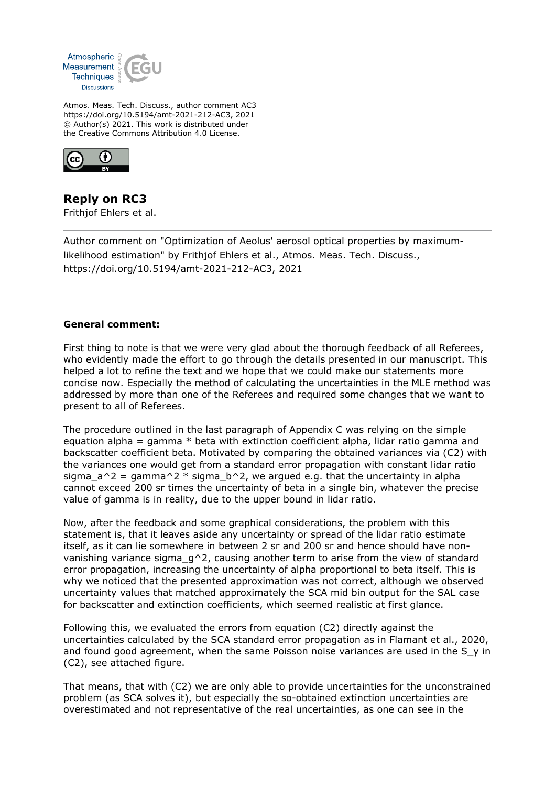

Atmos. Meas. Tech. Discuss., author comment AC3 https://doi.org/10.5194/amt-2021-212-AC3, 2021 © Author(s) 2021. This work is distributed under the Creative Commons Attribution 4.0 License.



**Reply on RC3** Frithjof Ehlers et al.

Author comment on "Optimization of Aeolus' aerosol optical properties by maximumlikelihood estimation" by Frithjof Ehlers et al., Atmos. Meas. Tech. Discuss., https://doi.org/10.5194/amt-2021-212-AC3, 2021

# **General comment:**

First thing to note is that we were very glad about the thorough feedback of all Referees, who evidently made the effort to go through the details presented in our manuscript. This helped a lot to refine the text and we hope that we could make our statements more concise now. Especially the method of calculating the uncertainties in the MLE method was addressed by more than one of the Referees and required some changes that we want to present to all of Referees.

The procedure outlined in the last paragraph of Appendix C was relying on the simple equation alpha = gamma  $*$  beta with extinction coefficient alpha, lidar ratio gamma and backscatter coefficient beta. Motivated by comparing the obtained variances via (C2) with the variances one would get from a standard error propagation with constant lidar ratio sigma  $a^2$  = gamma<sup>2</sup> \* sigma b<sup>2</sup>, we argued e.g. that the uncertainty in alpha cannot exceed 200 sr times the uncertainty of beta in a single bin, whatever the precise value of gamma is in reality, due to the upper bound in lidar ratio.

Now, after the feedback and some graphical considerations, the problem with this statement is, that it leaves aside any uncertainty or spread of the lidar ratio estimate itself, as it can lie somewhere in between 2 sr and 200 sr and hence should have nonvanishing variance sigma  $q^2$ , causing another term to arise from the view of standard error propagation, increasing the uncertainty of alpha proportional to beta itself. This is why we noticed that the presented approximation was not correct, although we observed uncertainty values that matched approximately the SCA mid bin output for the SAL case for backscatter and extinction coefficients, which seemed realistic at first glance.

Following this, we evaluated the errors from equation (C2) directly against the uncertainties calculated by the SCA standard error propagation as in Flamant et al., 2020, and found good agreement, when the same Poisson noise variances are used in the S y in (C2), see attached figure.

That means, that with (C2) we are only able to provide uncertainties for the unconstrained problem (as SCA solves it), but especially the so-obtained extinction uncertainties are overestimated and not representative of the real uncertainties, as one can see in the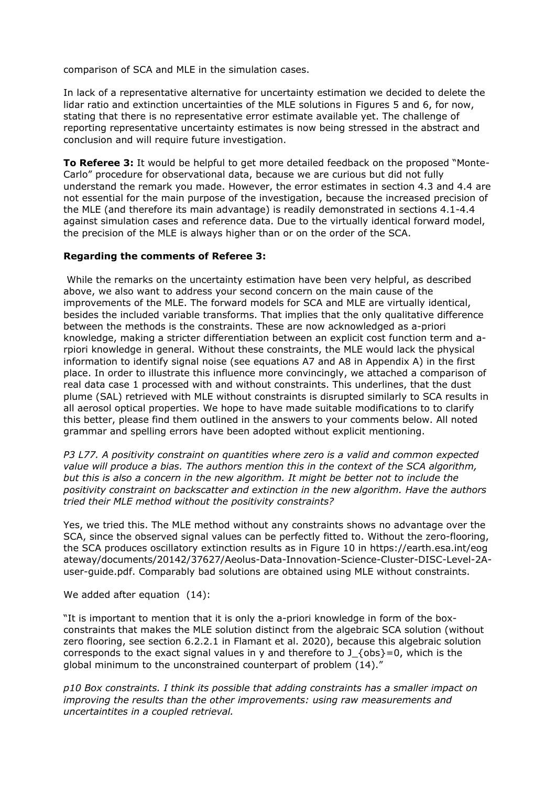comparison of SCA and MLE in the simulation cases.

In lack of a representative alternative for uncertainty estimation we decided to delete the lidar ratio and extinction uncertainties of the MLE solutions in Figures 5 and 6, for now, stating that there is no representative error estimate available yet. The challenge of reporting representative uncertainty estimates is now being stressed in the abstract and conclusion and will require future investigation.

**To Referee 3:** It would be helpful to get more detailed feedback on the proposed "Monte-Carlo" procedure for observational data, because we are curious but did not fully understand the remark you made. However, the error estimates in section 4.3 and 4.4 are not essential for the main purpose of the investigation, because the increased precision of the MLE (and therefore its main advantage) is readily demonstrated in sections 4.1-4.4 against simulation cases and reference data. Due to the virtually identical forward model, the precision of the MLE is always higher than or on the order of the SCA.

# **Regarding the comments of Referee 3:**

 While the remarks on the uncertainty estimation have been very helpful, as described above, we also want to address your second concern on the main cause of the improvements of the MLE. The forward models for SCA and MLE are virtually identical, besides the included variable transforms. That implies that the only qualitative difference between the methods is the constraints. These are now acknowledged as a-priori knowledge, making a stricter differentiation between an explicit cost function term and arpiori knowledge in general. Without these constraints, the MLE would lack the physical information to identify signal noise (see equations A7 and A8 in Appendix A) in the first place. In order to illustrate this influence more convincingly, we attached a comparison of real data case 1 processed with and without constraints. This underlines, that the dust plume (SAL) retrieved with MLE without constraints is disrupted similarly to SCA results in all aerosol optical properties. We hope to have made suitable modifications to to clarify this better, please find them outlined in the answers to your comments below. All noted grammar and spelling errors have been adopted without explicit mentioning.

*P3 L77. A positivity constraint on quantities where zero is a valid and common expected value will produce a bias. The authors mention this in the context of the SCA algorithm, but this is also a concern in the new algorithm. It might be better not to include the positivity constraint on backscatter and extinction in the new algorithm. Have the authors tried their MLE method without the positivity constraints?*

Yes, we tried this. The MLE method without any constraints shows no advantage over the SCA, since the observed signal values can be perfectly fitted to. Without the zero-flooring, the SCA produces oscillatory extinction results as in Figure 10 in https://earth.esa.int/eog ateway/documents/20142/37627/Aeolus-Data-Innovation-Science-Cluster-DISC-Level-2Auser-guide.pdf. Comparably bad solutions are obtained using MLE without constraints.

We added after equation (14):

"It is important to mention that it is only the a-priori knowledge in form of the boxconstraints that makes the MLE solution distinct from the algebraic SCA solution (without zero flooring, see section 6.2.2.1 in Flamant et al. 2020), because this algebraic solution corresponds to the exact signal values in y and therefore to  $J_{\text{S}}$  (obs)=0, which is the global minimum to the unconstrained counterpart of problem (14)."

*p10 Box constraints. I think its possible that adding constraints has a smaller impact on improving the results than the other improvements: using raw measurements and uncertaintites in a coupled retrieval.*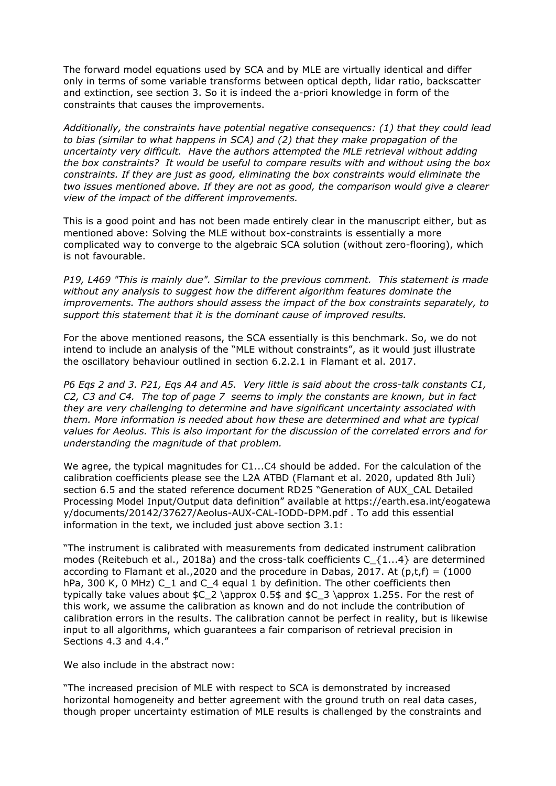The forward model equations used by SCA and by MLE are virtually identical and differ only in terms of some variable transforms between optical depth, lidar ratio, backscatter and extinction, see section 3. So it is indeed the a-priori knowledge in form of the constraints that causes the improvements.

*Additionally, the constraints have potential negative consequencs: (1) that they could lead to bias (similar to what happens in SCA) and (2) that they make propagation of the uncertainty very difficult. Have the authors attempted the MLE retrieval without adding the box constraints? It would be useful to compare results with and without using the box constraints. If they are just as good, eliminating the box constraints would eliminate the two issues mentioned above. If they are not as good, the comparison would give a clearer view of the impact of the different improvements.*

This is a good point and has not been made entirely clear in the manuscript either, but as mentioned above: Solving the MLE without box-constraints is essentially a more complicated way to converge to the algebraic SCA solution (without zero-flooring), which is not favourable.

*P19, L469 "This is mainly due". Similar to the previous comment. This statement is made without any analysis to suggest how the different algorithm features dominate the improvements. The authors should assess the impact of the box constraints separately, to support this statement that it is the dominant cause of improved results.*

For the above mentioned reasons, the SCA essentially is this benchmark. So, we do not intend to include an analysis of the "MLE without constraints", as it would just illustrate the oscillatory behaviour outlined in section 6.2.2.1 in Flamant et al. 2017.

*P6 Eqs 2 and 3. P21, Eqs A4 and A5. Very little is said about the cross-talk constants C1, C2, C3 and C4. The top of page 7 seems to imply the constants are known, but in fact they are very challenging to determine and have significant uncertainty associated with them. More information is needed about how these are determined and what are typical values for Aeolus. This is also important for the discussion of the correlated errors and for understanding the magnitude of that problem.*

We agree, the typical magnitudes for C1...C4 should be added. For the calculation of the calibration coefficients please see the L2A ATBD (Flamant et al. 2020, updated 8th Juli) section 6.5 and the stated reference document RD25 "Generation of AUX\_CAL Detailed Processing Model Input/Output data definition" available at https://earth.esa.int/eogatewa y/documents/20142/37627/Aeolus-AUX-CAL-IODD-DPM.pdf . To add this essential information in the text, we included just above section 3.1:

"The instrument is calibrated with measurements from dedicated instrument calibration modes (Reitebuch et al., 2018a) and the cross-talk coefficients C  $\{1...4\}$  are determined according to Flamant et al., 2020 and the procedure in Dabas, 2017. At  $(p,t,f) = (1000$ hPa, 300 K, 0 MHz) C\_1 and C\_4 equal 1 by definition. The other coefficients then typically take values about  $C_2 \approx 0.5$  and  $C_3 \approx 1.25$ . For the rest of this work, we assume the calibration as known and do not include the contribution of calibration errors in the results. The calibration cannot be perfect in reality, but is likewise input to all algorithms, which guarantees a fair comparison of retrieval precision in Sections 4.3 and 4.4."

We also include in the abstract now:

"The increased precision of MLE with respect to SCA is demonstrated by increased horizontal homogeneity and better agreement with the ground truth on real data cases, though proper uncertainty estimation of MLE results is challenged by the constraints and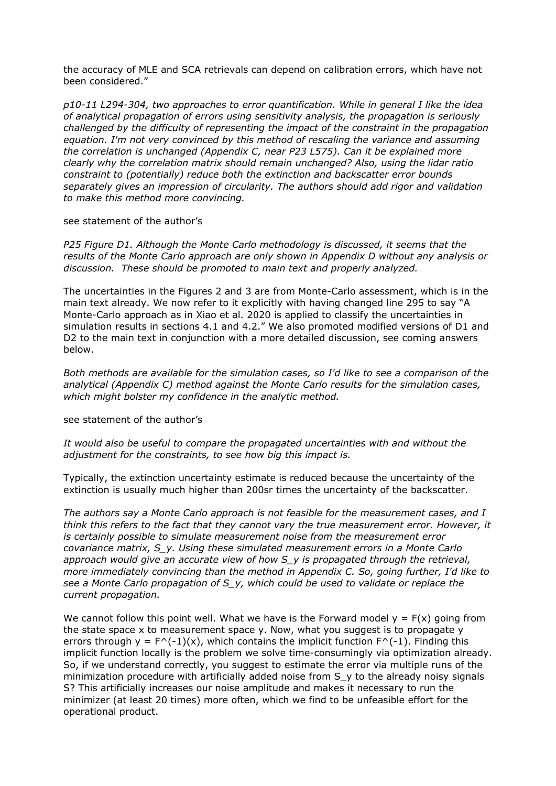the accuracy of MLE and SCA retrievals can depend on calibration errors, which have not been considered."

*p10-11 L294-304, two approaches to error quantification. While in general I like the idea of analytical propagation of errors using sensitivity analysis, the propagation is seriously challenged by the difficulty of representing the impact of the constraint in the propagation equation. I'm not very convinced by this method of rescaling the variance and assuming the correlation is unchanged (Appendix C, near P23 L575). Can it be explained more clearly why the correlation matrix should remain unchanged? Also, using the lidar ratio constraint to (potentially) reduce both the extinction and backscatter error bounds separately gives an impression of circularity. The authors should add rigor and validation to make this method more convincing.*

#### see statement of the author's

*P25 Figure D1. Although the Monte Carlo methodology is discussed, it seems that the results of the Monte Carlo approach are only shown in Appendix D without any analysis or discussion. These should be promoted to main text and properly analyzed.* 

The uncertainties in the Figures 2 and 3 are from Monte-Carlo assessment, which is in the main text already. We now refer to it explicitly with having changed line 295 to say "A Monte-Carlo approach as in Xiao et al. 2020 is applied to classify the uncertainties in simulation results in sections 4.1 and 4.2." We also promoted modified versions of D1 and D2 to the main text in conjunction with a more detailed discussion, see coming answers below.

*Both methods are available for the simulation cases, so I'd like to see a comparison of the analytical (Appendix C) method against the Monte Carlo results for the simulation cases, which might bolster my confidence in the analytic method.* 

### see statement of the author's

*It would also be useful to compare the propagated uncertainties with and without the adjustment for the constraints, to see how big this impact is.*

Typically, the extinction uncertainty estimate is reduced because the uncertainty of the extinction is usually much higher than 200sr times the uncertainty of the backscatter.

*The authors say a Monte Carlo approach is not feasible for the measurement cases, and I think this refers to the fact that they cannot vary the true measurement error. However, it is certainly possible to simulate measurement noise from the measurement error covariance matrix, S\_y. Using these simulated measurement errors in a Monte Carlo approach would give an accurate view of how S\_y is propagated through the retrieval, more immediately convincing than the method in Appendix C. So, going further, I'd like to see a Monte Carlo propagation of S\_y, which could be used to validate or replace the current propagation.* 

We cannot follow this point well. What we have is the Forward model  $y = F(x)$  going from the state space x to measurement space y. Now, what you suggest is to propagate y errors through  $y = F^(-1)(x)$ , which contains the implicit function  $F^(-1)$ . Finding this implicit function locally is the problem we solve time-consumingly via optimization already. So, if we understand correctly, you suggest to estimate the error via multiple runs of the minimization procedure with artificially added noise from S\_y to the already noisy signals S? This artificially increases our noise amplitude and makes it necessary to run the minimizer (at least 20 times) more often, which we find to be unfeasible effort for the operational product.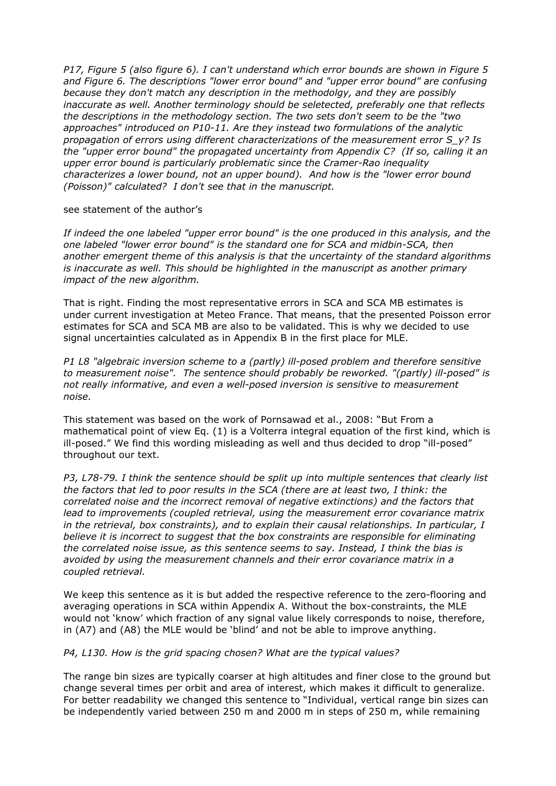*P17, Figure 5 (also figure 6). I can't understand which error bounds are shown in Figure 5 and Figure 6. The descriptions "lower error bound" and "upper error bound" are confusing because they don't match any description in the methodolgy, and they are possibly inaccurate as well. Another terminology should be seletected, preferably one that reflects the descriptions in the methodology section. The two sets don't seem to be the "two approaches" introduced on P10-11. Are they instead two formulations of the analytic propagation of errors using different characterizations of the measurement error S\_y? Is the "upper error bound" the propagated uncertainty from Appendix C? (If so, calling it an upper error bound is particularly problematic since the Cramer-Rao inequality characterizes a lower bound, not an upper bound). And how is the "lower error bound (Poisson)" calculated? I don't see that in the manuscript.* 

# see statement of the author's

*If indeed the one labeled "upper error bound" is the one produced in this analysis, and the one labeled "lower error bound" is the standard one for SCA and midbin-SCA, then another emergent theme of this analysis is that the uncertainty of the standard algorithms is inaccurate as well. This should be highlighted in the manuscript as another primary impact of the new algorithm.*

That is right. Finding the most representative errors in SCA and SCA MB estimates is under current investigation at Meteo France. That means, that the presented Poisson error estimates for SCA and SCA MB are also to be validated. This is why we decided to use signal uncertainties calculated as in Appendix B in the first place for MLE.

*P1 L8 "algebraic inversion scheme to a (partly) ill-posed problem and therefore sensitive to measurement noise". The sentence should probably be reworked. "(partly) ill-posed" is not really informative, and even a well-posed inversion is sensitive to measurement noise.* 

This statement was based on the work of Pornsawad et al., 2008: "But From a mathematical point of view Eq. (1) is a Volterra integral equation of the first kind, which is ill-posed." We find this wording misleading as well and thus decided to drop "ill-posed" throughout our text.

*P3, L78-79. I think the sentence should be split up into multiple sentences that clearly list the factors that led to poor results in the SCA (there are at least two, I think: the correlated noise and the incorrect removal of negative extinctions) and the factors that lead to improvements (coupled retrieval, using the measurement error covariance matrix in the retrieval, box constraints), and to explain their causal relationships. In particular, I believe it is incorrect to suggest that the box constraints are responsible for eliminating the correlated noise issue, as this sentence seems to say. Instead, I think the bias is avoided by using the measurement channels and their error covariance matrix in a coupled retrieval.*

We keep this sentence as it is but added the respective reference to the zero-flooring and averaging operations in SCA within Appendix A. Without the box-constraints, the MLE would not 'know' which fraction of any signal value likely corresponds to noise, therefore, in (A7) and (A8) the MLE would be 'blind' and not be able to improve anything.

# *P4, L130. How is the grid spacing chosen? What are the typical values?*

The range bin sizes are typically coarser at high altitudes and finer close to the ground but change several times per orbit and area of interest, which makes it difficult to generalize. For better readability we changed this sentence to "Individual, vertical range bin sizes can be independently varied between 250 m and 2000 m in steps of 250 m, while remaining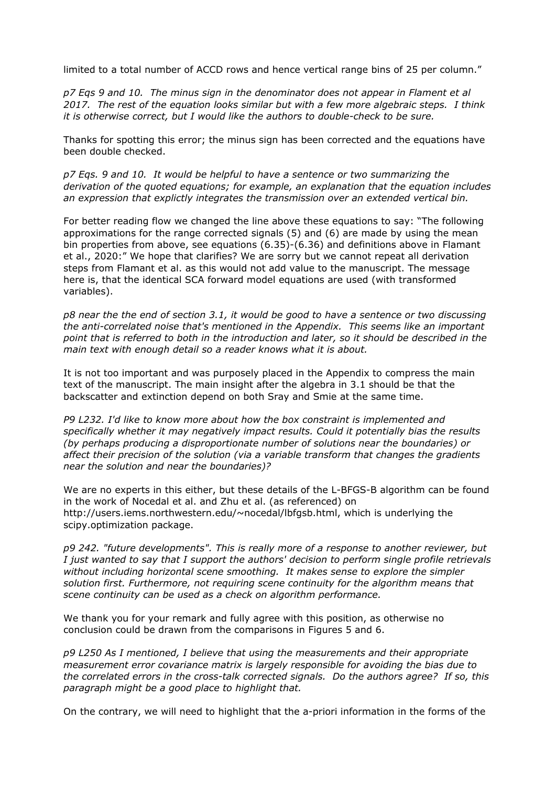limited to a total number of ACCD rows and hence vertical range bins of 25 per column."

*p7 Eqs 9 and 10. The minus sign in the denominator does not appear in Flament et al 2017. The rest of the equation looks similar but with a few more algebraic steps. I think it is otherwise correct, but I would like the authors to double-check to be sure.*

Thanks for spotting this error; the minus sign has been corrected and the equations have been double checked.

*p7 Eqs. 9 and 10. It would be helpful to have a sentence or two summarizing the derivation of the quoted equations; for example, an explanation that the equation includes an expression that explictly integrates the transmission over an extended vertical bin.* 

For better reading flow we changed the line above these equations to say: "The following approximations for the range corrected signals (5) and (6) are made by using the mean bin properties from above, see equations (6.35)-(6.36) and definitions above in Flamant et al., 2020:" We hope that clarifies? We are sorry but we cannot repeat all derivation steps from Flamant et al. as this would not add value to the manuscript. The message here is, that the identical SCA forward model equations are used (with transformed variables).

*p8 near the the end of section 3.1, it would be good to have a sentence or two discussing the anti-correlated noise that's mentioned in the Appendix. This seems like an important point that is referred to both in the introduction and later, so it should be described in the main text with enough detail so a reader knows what it is about.*

It is not too important and was purposely placed in the Appendix to compress the main text of the manuscript. The main insight after the algebra in 3.1 should be that the backscatter and extinction depend on both Sray and Smie at the same time.

*P9 L232. I'd like to know more about how the box constraint is implemented and specifically whether it may negatively impact results. Could it potentially bias the results (by perhaps producing a disproportionate number of solutions near the boundaries) or affect their precision of the solution (via a variable transform that changes the gradients near the solution and near the boundaries)?*

We are no experts in this either, but these details of the L-BFGS-B algorithm can be found in the work of Nocedal et al. and Zhu et al. (as referenced) on http://users.iems.northwestern.edu/~nocedal/lbfgsb.html, which is underlying the scipy.optimization package.

*p9 242. "future developments". This is really more of a response to another reviewer, but I just wanted to say that I support the authors' decision to perform single profile retrievals without including horizontal scene smoothing. It makes sense to explore the simpler solution first. Furthermore, not requiring scene continuity for the algorithm means that scene continuity can be used as a check on algorithm performance.*

We thank you for your remark and fully agree with this position, as otherwise no conclusion could be drawn from the comparisons in Figures 5 and 6.

*p9 L250 As I mentioned, I believe that using the measurements and their appropriate measurement error covariance matrix is largely responsible for avoiding the bias due to the correlated errors in the cross-talk corrected signals. Do the authors agree? If so, this paragraph might be a good place to highlight that.*

On the contrary, we will need to highlight that the a-priori information in the forms of the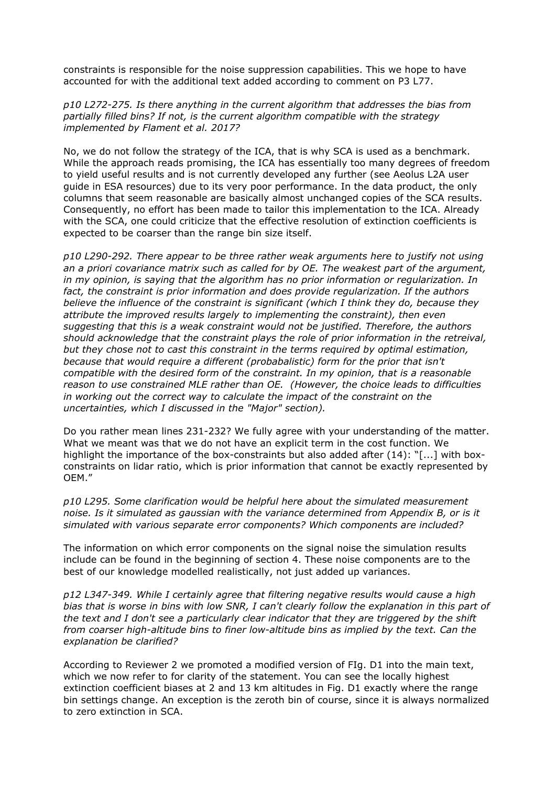constraints is responsible for the noise suppression capabilities. This we hope to have accounted for with the additional text added according to comment on P3 L77.

*p10 L272-275. Is there anything in the current algorithm that addresses the bias from partially filled bins? If not, is the current algorithm compatible with the strategy implemented by Flament et al. 2017?*

No, we do not follow the strategy of the ICA, that is why SCA is used as a benchmark. While the approach reads promising, the ICA has essentially too many degrees of freedom to yield useful results and is not currently developed any further (see Aeolus L2A user guide in ESA resources) due to its very poor performance. In the data product, the only columns that seem reasonable are basically almost unchanged copies of the SCA results. Consequently, no effort has been made to tailor this implementation to the ICA. Already with the SCA, one could criticize that the effective resolution of extinction coefficients is expected to be coarser than the range bin size itself.

*p10 L290-292. There appear to be three rather weak arguments here to justify not using an a priori covariance matrix such as called for by OE. The weakest part of the argument, in my opinion, is saying that the algorithm has no prior information or regularization. In fact, the constraint is prior information and does provide regularization. If the authors believe the influence of the constraint is significant (which I think they do, because they attribute the improved results largely to implementing the constraint), then even suggesting that this is a weak constraint would not be justified. Therefore, the authors should acknowledge that the constraint plays the role of prior information in the retreival, but they chose not to cast this constraint in the terms required by optimal estimation, because that would require a different (probabalistic) form for the prior that isn't compatible with the desired form of the constraint. In my opinion, that is a reasonable reason to use constrained MLE rather than OE. (However, the choice leads to difficulties in working out the correct way to calculate the impact of the constraint on the uncertainties, which I discussed in the "Major" section).*

Do you rather mean lines 231-232? We fully agree with your understanding of the matter. What we meant was that we do not have an explicit term in the cost function. We highlight the importance of the box-constraints but also added after (14): "[...] with boxconstraints on lidar ratio, which is prior information that cannot be exactly represented by OEM."

*p10 L295. Some clarification would be helpful here about the simulated measurement noise. Is it simulated as gaussian with the variance determined from Appendix B, or is it simulated with various separate error components? Which components are included?*

The information on which error components on the signal noise the simulation results include can be found in the beginning of section 4. These noise components are to the best of our knowledge modelled realistically, not just added up variances.

*p12 L347-349. While I certainly agree that filtering negative results would cause a high bias that is worse in bins with low SNR, I can't clearly follow the explanation in this part of the text and I don't see a particularly clear indicator that they are triggered by the shift from coarser high-altitude bins to finer low-altitude bins as implied by the text. Can the explanation be clarified?*

According to Reviewer 2 we promoted a modified version of FIg. D1 into the main text, which we now refer to for clarity of the statement. You can see the locally highest extinction coefficient biases at 2 and 13 km altitudes in Fig. D1 exactly where the range bin settings change. An exception is the zeroth bin of course, since it is always normalized to zero extinction in SCA.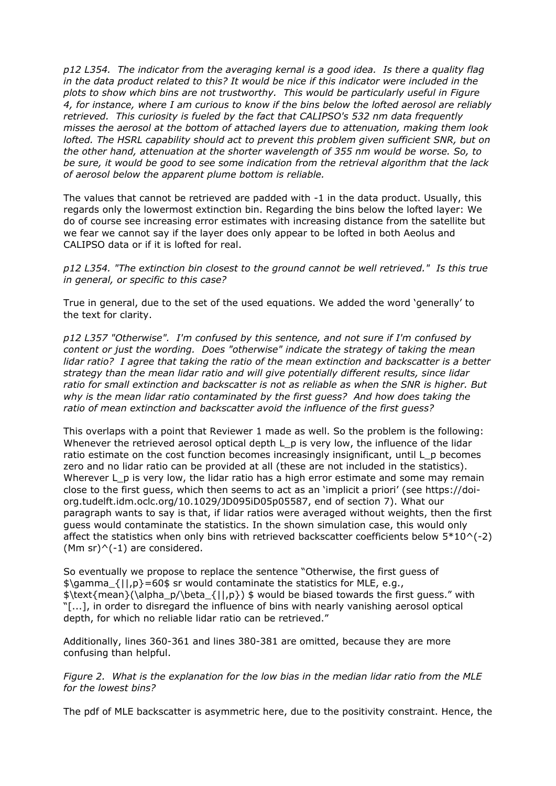*p12 L354. The indicator from the averaging kernal is a good idea. Is there a quality flag in the data product related to this? It would be nice if this indicator were included in the plots to show which bins are not trustworthy. This would be particularly useful in Figure 4, for instance, where I am curious to know if the bins below the lofted aerosol are reliably retrieved. This curiosity is fueled by the fact that CALIPSO's 532 nm data frequently misses the aerosol at the bottom of attached layers due to attenuation, making them look lofted. The HSRL capability should act to prevent this problem given sufficient SNR, but on the other hand, attenuation at the shorter wavelength of 355 nm would be worse. So, to be sure, it would be good to see some indication from the retrieval algorithm that the lack of aerosol below the apparent plume bottom is reliable.*

The values that cannot be retrieved are padded with -1 in the data product. Usually, this regards only the lowermost extinction bin. Regarding the bins below the lofted layer: We do of course see increasing error estimates with increasing distance from the satellite but we fear we cannot say if the layer does only appear to be lofted in both Aeolus and CALIPSO data or if it is lofted for real.

*p12 L354. "The extinction bin closest to the ground cannot be well retrieved." Is this true in general, or specific to this case?*

True in general, due to the set of the used equations. We added the word 'generally' to the text for clarity.

*p12 L357 "Otherwise". I'm confused by this sentence, and not sure if I'm confused by content or just the wording. Does "otherwise" indicate the strategy of taking the mean lidar ratio? I agree that taking the ratio of the mean extinction and backscatter is a better strategy than the mean lidar ratio and will give potentially different results, since lidar ratio for small extinction and backscatter is not as reliable as when the SNR is higher. But why is the mean lidar ratio contaminated by the first guess? And how does taking the ratio of mean extinction and backscatter avoid the influence of the first guess?*

This overlaps with a point that Reviewer 1 made as well. So the problem is the following: Whenever the retrieved aerosol optical depth L\_p is very low, the influence of the lidar ratio estimate on the cost function becomes increasingly insignificant, until L\_p becomes zero and no lidar ratio can be provided at all (these are not included in the statistics). Wherever L p is very low, the lidar ratio has a high error estimate and some may remain close to the first guess, which then seems to act as an 'implicit a priori' (see https://doiorg.tudelft.idm.oclc.org/10.1029/JD095iD05p05587, end of section 7). What our paragraph wants to say is that, if lidar ratios were averaged without weights, then the first guess would contaminate the statistics. In the shown simulation case, this would only affect the statistics when only bins with retrieved backscatter coefficients below  $5*10^(-2)$ (Mm sr) $\wedge$ (-1) are considered.

So eventually we propose to replace the sentence "Otherwise, the first guess of  $\gamma_{\text{gamma}}$  { $|1,p\rangle$ =60\$ sr would contaminate the statistics for MLE, e.g.,  $\text{mean}(\\alpha_p/\beta_{||,p}) \$  would be biased towards the first guess." with "[...], in order to disregard the influence of bins with nearly vanishing aerosol optical depth, for which no reliable lidar ratio can be retrieved."

Additionally, lines 360-361 and lines 380-381 are omitted, because they are more confusing than helpful.

*Figure 2. What is the explanation for the low bias in the median lidar ratio from the MLE for the lowest bins?* 

The pdf of MLE backscatter is asymmetric here, due to the positivity constraint. Hence, the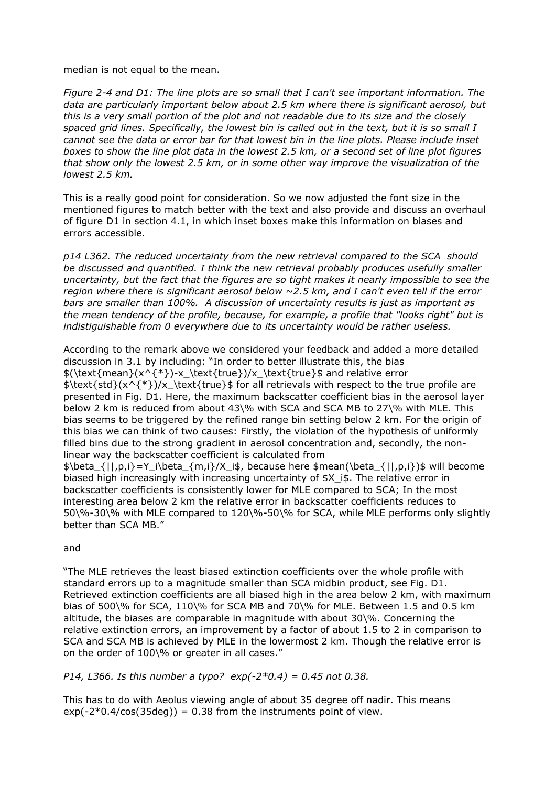### median is not equal to the mean.

*Figure 2-4 and D1: The line plots are so small that I can't see important information. The data are particularly important below about 2.5 km where there is significant aerosol, but this is a very small portion of the plot and not readable due to its size and the closely spaced grid lines. Specifically, the lowest bin is called out in the text, but it is so small I cannot see the data or error bar for that lowest bin in the line plots. Please include inset boxes to show the line plot data in the lowest 2.5 km, or a second set of line plot figures that show only the lowest 2.5 km, or in some other way improve the visualization of the lowest 2.5 km.* 

This is a really good point for consideration. So we now adjusted the font size in the mentioned figures to match better with the text and also provide and discuss an overhaul of figure D1 in section 4.1, in which inset boxes make this information on biases and errors accessible.

*p14 L362. The reduced uncertainty from the new retrieval compared to the SCA should be discussed and quantified. I think the new retrieval probably produces usefully smaller uncertainty, but the fact that the figures are so tight makes it nearly impossible to see the region where there is significant aerosol below ~2.5 km, and I can't even tell if the error bars are smaller than 100%. A discussion of uncertainty results is just as important as the mean tendency of the profile, because, for example, a profile that "looks right" but is indistiguishable from 0 everywhere due to its uncertainty would be rather useless.*

According to the remark above we considered your feedback and added a more detailed discussion in 3.1 by including: "In order to better illustrate this, the bias \$(\text{mean}(x^{\*})-x\_\text{true})/x\_\text{true}\$ and relative error \$\text{std}(x^{\*})/x\_\text{true}\$ for all retrievals with respect to the true profile are presented in Fig. D1. Here, the maximum backscatter coefficient bias in the aerosol layer below 2 km is reduced from about 43\% with SCA and SCA MB to 27\% with MLE. This bias seems to be triggered by the refined range bin setting below 2 km. For the origin of this bias we can think of two causes: Firstly, the violation of the hypothesis of uniformly filled bins due to the strong gradient in aerosol concentration and, secondly, the nonlinear way the backscatter coefficient is calculated from

 $\phi_{\delta_{1},p,i}=Y_i\beta_{m,i}/X_i\$ . because here \$mean(\beta {||,p,i})\$ will become biased high increasingly with increasing uncertainty of  $$X$  i\$. The relative error in backscatter coefficients is consistently lower for MLE compared to SCA; In the most interesting area below 2 km the relative error in backscatter coefficients reduces to 50\%-30\% with MLE compared to 120\%-50\% for SCA, while MLE performs only slightly better than SCA MB."

# and

"The MLE retrieves the least biased extinction coefficients over the whole profile with standard errors up to a magnitude smaller than SCA midbin product, see Fig. D1. Retrieved extinction coefficients are all biased high in the area below 2 km, with maximum bias of 500\% for SCA, 110\% for SCA MB and 70\% for MLE. Between 1.5 and 0.5 km altitude, the biases are comparable in magnitude with about 30\%. Concerning the relative extinction errors, an improvement by a factor of about 1.5 to 2 in comparison to SCA and SCA MB is achieved by MLE in the lowermost 2 km. Though the relative error is on the order of 100\% or greater in all cases."

# *P14, L366. Is this number a typo? exp(-2\*0.4) = 0.45 not 0.38.*

This has to do with Aeolus viewing angle of about 35 degree off nadir. This means  $exp(-2*0.4/cos(35deg)) = 0.38$  from the instruments point of view.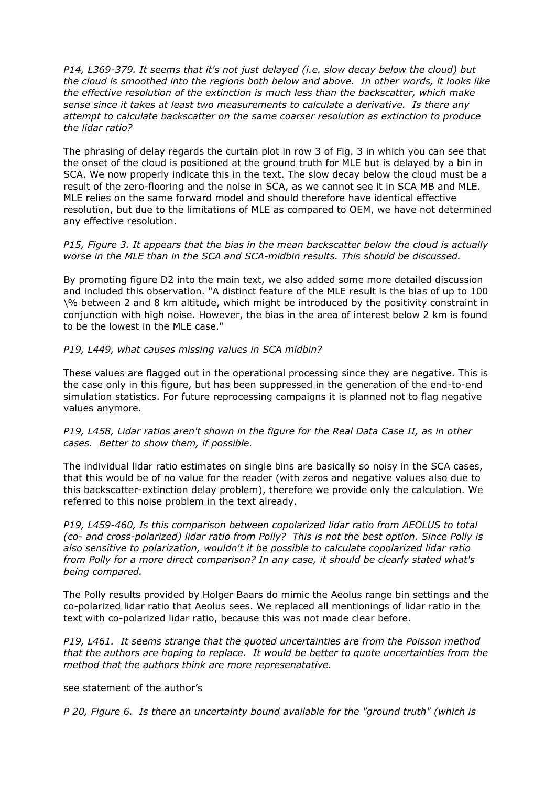*P14, L369-379. It seems that it's not just delayed (i.e. slow decay below the cloud) but the cloud is smoothed into the regions both below and above. In other words, it looks like the effective resolution of the extinction is much less than the backscatter, which make sense since it takes at least two measurements to calculate a derivative. Is there any attempt to calculate backscatter on the same coarser resolution as extinction to produce the lidar ratio?*

The phrasing of delay regards the curtain plot in row 3 of Fig. 3 in which you can see that the onset of the cloud is positioned at the ground truth for MLE but is delayed by a bin in SCA. We now properly indicate this in the text. The slow decay below the cloud must be a result of the zero-flooring and the noise in SCA, as we cannot see it in SCA MB and MLE. MLE relies on the same forward model and should therefore have identical effective resolution, but due to the limitations of MLE as compared to OEM, we have not determined any effective resolution.

*P15, Figure 3. It appears that the bias in the mean backscatter below the cloud is actually worse in the MLE than in the SCA and SCA-midbin results. This should be discussed.* 

By promoting figure D2 into the main text, we also added some more detailed discussion and included this observation. "A distinct feature of the MLE result is the bias of up to 100 \% between 2 and 8 km altitude, which might be introduced by the positivity constraint in conjunction with high noise. However, the bias in the area of interest below 2 km is found to be the lowest in the MLE case."

#### *P19, L449, what causes missing values in SCA midbin?*

These values are flagged out in the operational processing since they are negative. This is the case only in this figure, but has been suppressed in the generation of the end-to-end simulation statistics. For future reprocessing campaigns it is planned not to flag negative values anymore.

*P19, L458, Lidar ratios aren't shown in the figure for the Real Data Case II, as in other cases. Better to show them, if possible.* 

The individual lidar ratio estimates on single bins are basically so noisy in the SCA cases, that this would be of no value for the reader (with zeros and negative values also due to this backscatter-extinction delay problem), therefore we provide only the calculation. We referred to this noise problem in the text already.

*P19, L459-460, Is this comparison between copolarized lidar ratio from AEOLUS to total (co- and cross-polarized) lidar ratio from Polly? This is not the best option. Since Polly is also sensitive to polarization, wouldn't it be possible to calculate copolarized lidar ratio from Polly for a more direct comparison? In any case, it should be clearly stated what's being compared.*

The Polly results provided by Holger Baars do mimic the Aeolus range bin settings and the co-polarized lidar ratio that Aeolus sees. We replaced all mentionings of lidar ratio in the text with co-polarized lidar ratio, because this was not made clear before.

*P19, L461. It seems strange that the quoted uncertainties are from the Poisson method that the authors are hoping to replace. It would be better to quote uncertainties from the method that the authors think are more represenatative.*

see statement of the author's

*P 20, Figure 6. Is there an uncertainty bound available for the "ground truth" (which is*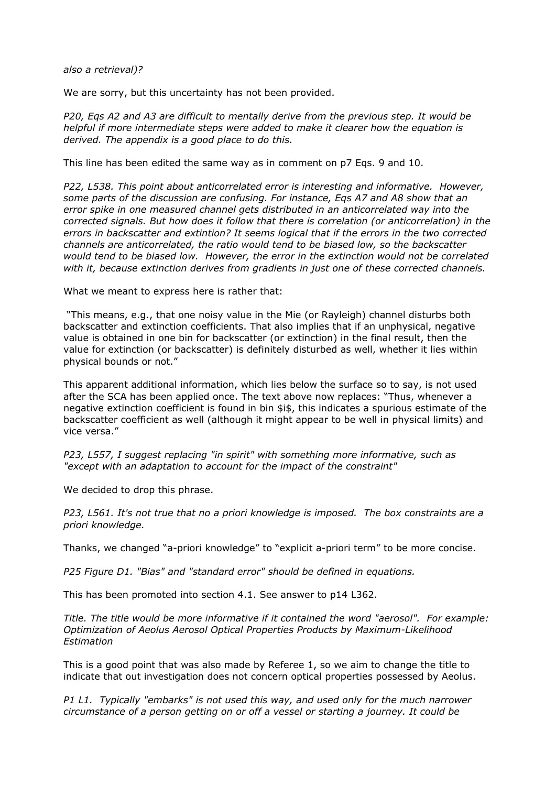*also a retrieval)?*

We are sorry, but this uncertainty has not been provided.

*P20, Eqs A2 and A3 are difficult to mentally derive from the previous step. It would be helpful if more intermediate steps were added to make it clearer how the equation is derived. The appendix is a good place to do this.*

This line has been edited the same way as in comment on p7 Eqs. 9 and 10.

*P22, L538. This point about anticorrelated error is interesting and informative. However, some parts of the discussion are confusing. For instance, Eqs A7 and A8 show that an error spike in one measured channel gets distributed in an anticorrelated way into the corrected signals. But how does it follow that there is correlation (or anticorrelation) in the errors in backscatter and extintion? It seems logical that if the errors in the two corrected channels are anticorrelated, the ratio would tend to be biased low, so the backscatter would tend to be biased low. However, the error in the extinction would not be correlated with it, because extinction derives from gradients in just one of these corrected channels.* 

What we meant to express here is rather that:

 "This means, e.g., that one noisy value in the Mie (or Rayleigh) channel disturbs both backscatter and extinction coefficients. That also implies that if an unphysical, negative value is obtained in one bin for backscatter (or extinction) in the final result, then the value for extinction (or backscatter) is definitely disturbed as well, whether it lies within physical bounds or not."

This apparent additional information, which lies below the surface so to say, is not used after the SCA has been applied once. The text above now replaces: "Thus, whenever a negative extinction coefficient is found in bin \$i\$, this indicates a spurious estimate of the backscatter coefficient as well (although it might appear to be well in physical limits) and vice versa."

*P23, L557, I suggest replacing "in spirit" with something more informative, such as "except with an adaptation to account for the impact of the constraint"* 

We decided to drop this phrase.

*P23, L561. It's not true that no a priori knowledge is imposed. The box constraints are a priori knowledge.*

Thanks, we changed "a-priori knowledge" to "explicit a-priori term" to be more concise.

*P25 Figure D1. "Bias" and "standard error" should be defined in equations.* 

This has been promoted into section 4.1. See answer to p14 L362.

*Title. The title would be more informative if it contained the word "aerosol". For example: Optimization of Aeolus Aerosol Optical Properties Products by Maximum-Likelihood Estimation*

This is a good point that was also made by Referee 1, so we aim to change the title to indicate that out investigation does not concern optical properties possessed by Aeolus.

*P1 L1. Typically "embarks" is not used this way, and used only for the much narrower circumstance of a person getting on or off a vessel or starting a journey. It could be*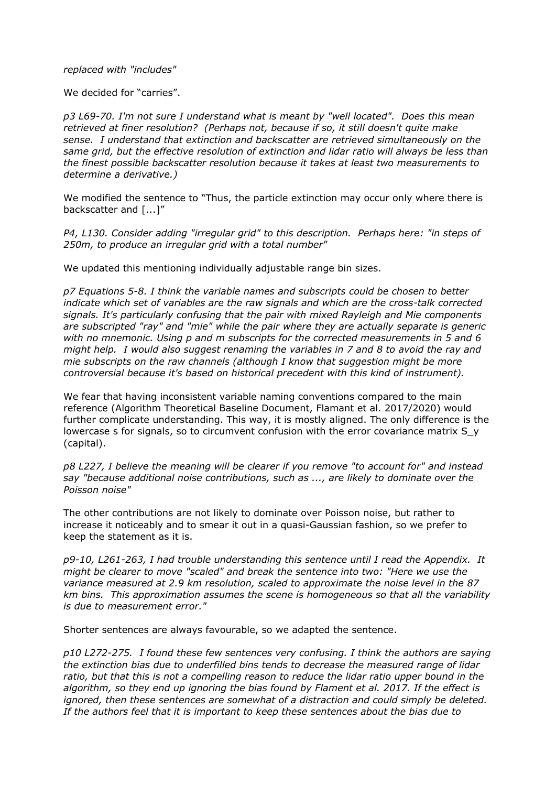### *replaced with "includes"*

We decided for "carries".

*p3 L69-70. I'm not sure I understand what is meant by "well located". Does this mean retrieved at finer resolution? (Perhaps not, because if so, it still doesn't quite make sense. I understand that extinction and backscatter are retrieved simultaneously on the same grid, but the effective resolution of extinction and lidar ratio will always be less than the finest possible backscatter resolution because it takes at least two measurements to determine a derivative.)*

We modified the sentence to "Thus, the particle extinction may occur only where there is backscatter and [...]"

*P4, L130. Consider adding "irregular grid" to this description. Perhaps here: "in steps of 250m, to produce an irregular grid with a total number"*

We updated this mentioning individually adjustable range bin sizes.

*p7 Equations 5-8. I think the variable names and subscripts could be chosen to better indicate which set of variables are the raw signals and which are the cross-talk corrected signals. It's particularly confusing that the pair with mixed Rayleigh and Mie components are subscripted "ray" and "mie" while the pair where they are actually separate is generic with no mnemonic. Using p and m subscripts for the corrected measurements in 5 and 6 might help. I would also suggest renaming the variables in 7 and 8 to avoid the ray and mie subscripts on the raw channels (although I know that suggestion might be more controversial because it's based on historical precedent with this kind of instrument).*

We fear that having inconsistent variable naming conventions compared to the main reference (Algorithm Theoretical Baseline Document, Flamant et al. 2017/2020) would further complicate understanding. This way, it is mostly aligned. The only difference is the lowercase s for signals, so to circumvent confusion with the error covariance matrix S\_y (capital).

*p8 L227, I believe the meaning will be clearer if you remove "to account for" and instead say "because additional noise contributions, such as ..., are likely to dominate over the Poisson noise"*

The other contributions are not likely to dominate over Poisson noise, but rather to increase it noticeably and to smear it out in a quasi-Gaussian fashion, so we prefer to keep the statement as it is.

*p9-10, L261-263, I had trouble understanding this sentence until I read the Appendix. It might be clearer to move "scaled" and break the sentence into two: "Here we use the variance measured at 2.9 km resolution, scaled to approximate the noise level in the 87 km bins. This approximation assumes the scene is homogeneous so that all the variability is due to measurement error."* 

Shorter sentences are always favourable, so we adapted the sentence.

*p10 L272-275. I found these few sentences very confusing. I think the authors are saying the extinction bias due to underfilled bins tends to decrease the measured range of lidar ratio, but that this is not a compelling reason to reduce the lidar ratio upper bound in the algorithm, so they end up ignoring the bias found by Flament et al. 2017. If the effect is ignored, then these sentences are somewhat of a distraction and could simply be deleted. If the authors feel that it is important to keep these sentences about the bias due to*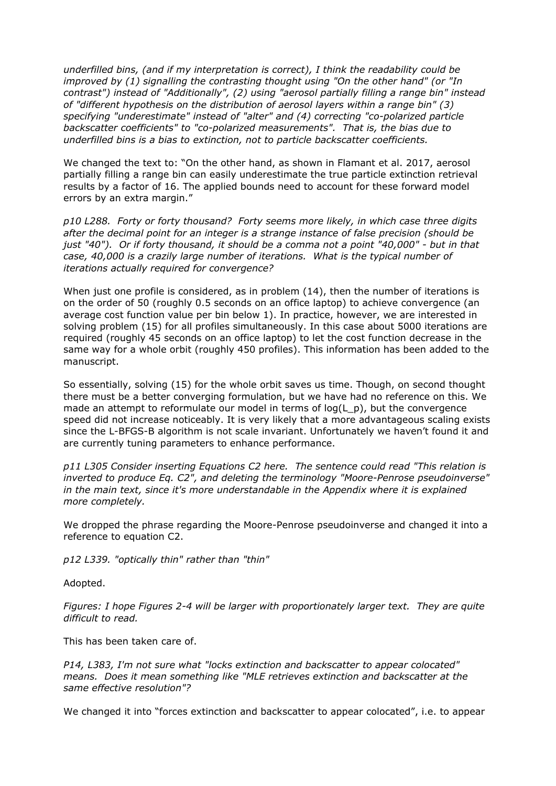*underfilled bins, (and if my interpretation is correct), I think the readability could be improved by (1) signalling the contrasting thought using "On the other hand" (or "In contrast") instead of "Additionally", (2) using "aerosol partially filling a range bin" instead of "different hypothesis on the distribution of aerosol layers within a range bin" (3) specifying "underestimate" instead of "alter" and (4) correcting "co-polarized particle backscatter coefficients" to "co-polarized measurements". That is, the bias due to underfilled bins is a bias to extinction, not to particle backscatter coefficients.* 

We changed the text to: "On the other hand, as shown in Flamant et al. 2017, aerosol partially filling a range bin can easily underestimate the true particle extinction retrieval results by a factor of 16. The applied bounds need to account for these forward model errors by an extra margin."

*p10 L288. Forty or forty thousand? Forty seems more likely, in which case three digits after the decimal point for an integer is a strange instance of false precision (should be just "40"). Or if forty thousand, it should be a comma not a point "40,000" - but in that case, 40,000 is a crazily large number of iterations. What is the typical number of iterations actually required for convergence?*

When just one profile is considered, as in problem (14), then the number of iterations is on the order of 50 (roughly 0.5 seconds on an office laptop) to achieve convergence (an average cost function value per bin below 1). In practice, however, we are interested in solving problem (15) for all profiles simultaneously. In this case about 5000 iterations are required (roughly 45 seconds on an office laptop) to let the cost function decrease in the same way for a whole orbit (roughly 450 profiles). This information has been added to the manuscript.

So essentially, solving (15) for the whole orbit saves us time. Though, on second thought there must be a better converging formulation, but we have had no reference on this. We made an attempt to reformulate our model in terms of  $log(L, p)$ , but the convergence speed did not increase noticeably. It is very likely that a more advantageous scaling exists since the L-BFGS-B algorithm is not scale invariant. Unfortunately we haven't found it and are currently tuning parameters to enhance performance.

*p11 L305 Consider inserting Equations C2 here. The sentence could read "This relation is inverted to produce Eq. C2", and deleting the terminology "Moore-Penrose pseudoinverse" in the main text, since it's more understandable in the Appendix where it is explained more completely.*

We dropped the phrase regarding the Moore-Penrose pseudoinverse and changed it into a reference to equation C2.

*p12 L339. "optically thin" rather than "thin"*

Adopted.

*Figures: I hope Figures 2-4 will be larger with proportionately larger text. They are quite difficult to read.* 

This has been taken care of.

*P14, L383, I'm not sure what "locks extinction and backscatter to appear colocated" means. Does it mean something like "MLE retrieves extinction and backscatter at the same effective resolution"?*

We changed it into "forces extinction and backscatter to appear colocated", i.e. to appear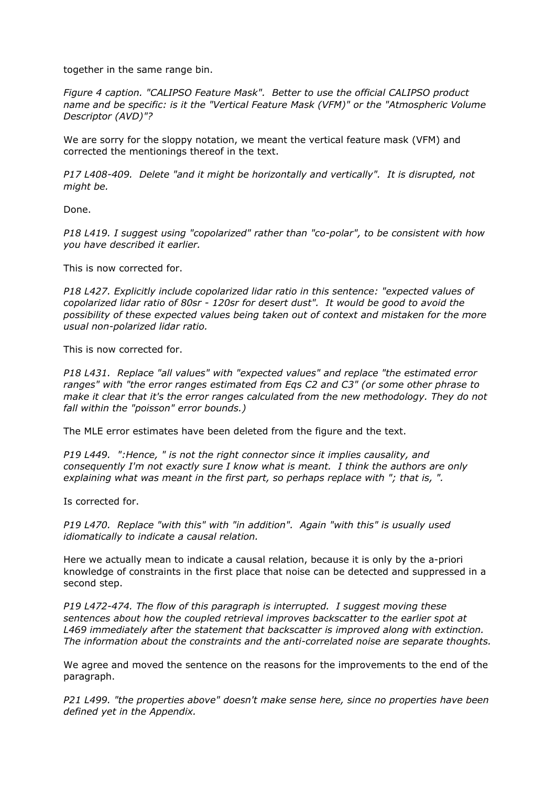together in the same range bin.

*Figure 4 caption. "CALIPSO Feature Mask". Better to use the official CALIPSO product name and be specific: is it the "Vertical Feature Mask (VFM)" or the "Atmospheric Volume Descriptor (AVD)"?*

We are sorry for the sloppy notation, we meant the vertical feature mask (VFM) and corrected the mentionings thereof in the text.

*P17 L408-409. Delete "and it might be horizontally and vertically". It is disrupted, not might be.* 

Done.

*P18 L419. I suggest using "copolarized" rather than "co-polar", to be consistent with how you have described it earlier.*

This is now corrected for.

*P18 L427. Explicitly include copolarized lidar ratio in this sentence: "expected values of copolarized lidar ratio of 80sr - 120sr for desert dust". It would be good to avoid the possibility of these expected values being taken out of context and mistaken for the more usual non-polarized lidar ratio.*

This is now corrected for.

*P18 L431. Replace "all values" with "expected values" and replace "the estimated error ranges" with "the error ranges estimated from Eqs C2 and C3" (or some other phrase to make it clear that it's the error ranges calculated from the new methodology. They do not fall within the "poisson" error bounds.)*

The MLE error estimates have been deleted from the figure and the text.

*P19 L449. ":Hence, " is not the right connector since it implies causality, and consequently I'm not exactly sure I know what is meant. I think the authors are only explaining what was meant in the first part, so perhaps replace with "; that is, ".*

Is corrected for.

*P19 L470. Replace "with this" with "in addition". Again "with this" is usually used idiomatically to indicate a causal relation.*

Here we actually mean to indicate a causal relation, because it is only by the a-priori knowledge of constraints in the first place that noise can be detected and suppressed in a second step.

*P19 L472-474. The flow of this paragraph is interrupted. I suggest moving these sentences about how the coupled retrieval improves backscatter to the earlier spot at L469 immediately after the statement that backscatter is improved along with extinction. The information about the constraints and the anti-correlated noise are separate thoughts.*

We agree and moved the sentence on the reasons for the improvements to the end of the paragraph.

*P21 L499. "the properties above" doesn't make sense here, since no properties have been defined yet in the Appendix.*